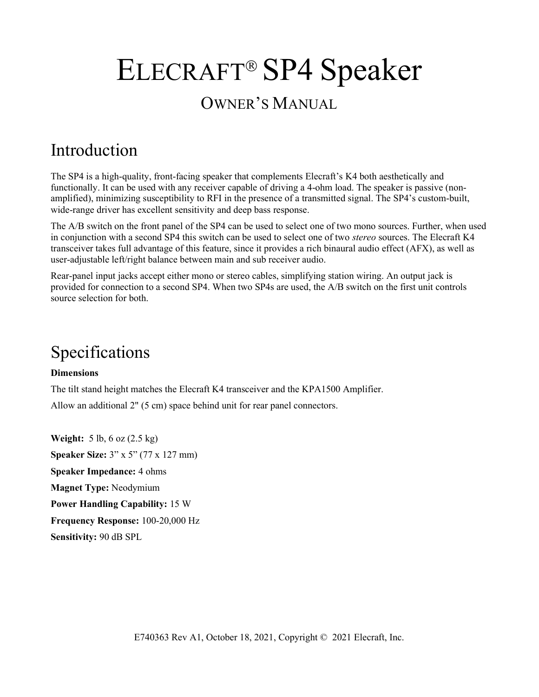# ELECRAFT<sup>®</sup> SP4 Speaker OWNER'S MANUAL

# Introduction

The SP4 is a high-quality, front-facing speaker that complements Elecraft's K4 both aesthetically and functionally. It can be used with any receiver capable of driving a 4-ohm load. The speaker is passive (nonamplified), minimizing susceptibility to RFI in the presence of a transmitted signal. The SP4's custom-built, wide-range driver has excellent sensitivity and deep bass response.

The A/B switch on the front panel of the SP4 can be used to select one of two mono sources. Further, when used in conjunction with a second SP4 this switch can be used to select one of two stereo sources. The Elecraft K4 transceiver takes full advantage of this feature, since it provides a rich binaural audio effect (AFX), as well as user-adjustable left/right balance between main and sub receiver audio.

Rear-panel input jacks accept either mono or stereo cables, simplifying station wiring. An output jack is provided for connection to a second SP4. When two SP4s are used, the A/B switch on the first unit controls source selection for both.

# Specifications

#### Dimensions

The tilt stand height matches the Elecraft K4 transceiver and the KPA1500 Amplifier. Allow an additional 2" (5 cm) space behind unit for rear panel connectors.

Weight: 5 lb, 6 oz (2.5 kg) Speaker Size: 3" x 5" (77 x 127 mm) Speaker Impedance: 4 ohms Magnet Type: Neodymium Power Handling Capability: 15 W Frequency Response: 100-20,000 Hz Sensitivity: 90 dB SPL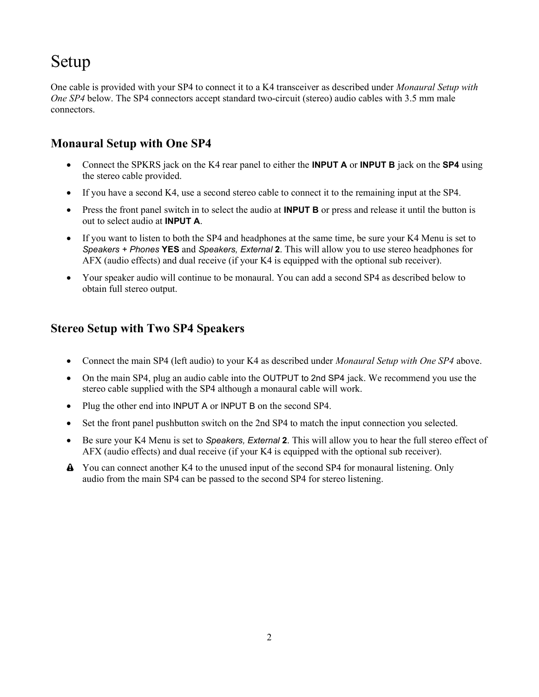## Setup

One cable is provided with your SP4 to connect it to a K4 transceiver as described under Monaural Setup with One SP4 below. The SP4 connectors accept standard two-circuit (stereo) audio cables with 3.5 mm male connectors.

### Monaural Setup with One SP4

- Connect the SPKRS jack on the K4 rear panel to either the **INPUT A** or **INPUT B** jack on the **SP4** using the stereo cable provided.
- If you have a second K4, use a second stereo cable to connect it to the remaining input at the SP4.
- Press the front panel switch in to select the audio at **INPUT B** or press and release it until the button is out to select audio at INPUT A.
- If you want to listen to both the SP4 and headphones at the same time, be sure your K4 Menu is set to Speakers + Phones YES and Speakers, External 2. This will allow you to use stereo headphones for AFX (audio effects) and dual receive (if your K4 is equipped with the optional sub receiver).
- Your speaker audio will continue to be monaural. You can add a second SP4 as described below to obtain full stereo output.

### Stereo Setup with Two SP4 Speakers

- Connect the main SP4 (left audio) to your K4 as described under *Monaural Setup with One SP4* above.
- On the main SP4, plug an audio cable into the OUTPUT to 2nd SP4 jack. We recommend you use the stereo cable supplied with the SP4 although a monaural cable will work.
- Plug the other end into INPUT A or INPUT B on the second SP4.
- Set the front panel pushbutton switch on the 2nd SP4 to match the input connection you selected.
- Be sure your K4 Menu is set to Speakers, External 2. This will allow you to hear the full stereo effect of AFX (audio effects) and dual receive (if your K4 is equipped with the optional sub receiver).
- You can connect another K4 to the unused input of the second SP4 for monaural listening. Only audio from the main SP4 can be passed to the second SP4 for stereo listening.